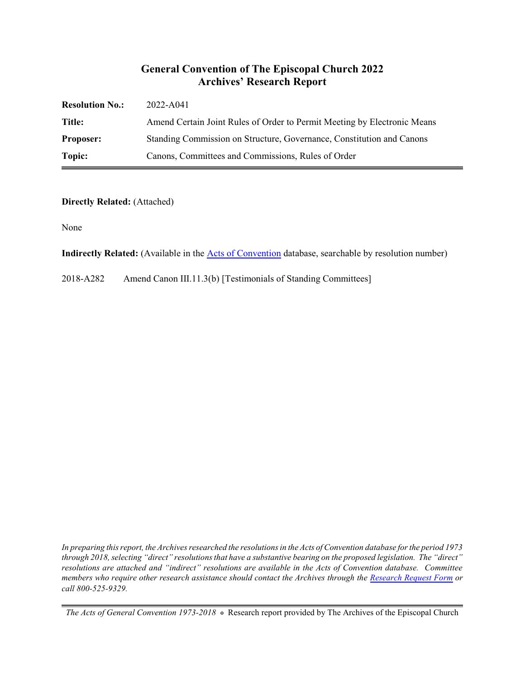#### **General Convention of The Episcopal Church 2022 Archives' Research Report**

| <b>Resolution No.:</b> | 2022-A041                                                                |
|------------------------|--------------------------------------------------------------------------|
| Title:                 | Amend Certain Joint Rules of Order to Permit Meeting by Electronic Means |
| <b>Proposer:</b>       | Standing Commission on Structure, Governance, Constitution and Canons    |
| Topic:                 | Canons, Committees and Commissions, Rules of Order                       |

#### **Directly Related:** (Attached)

None

**Indirectly Related:** (Available in the [Acts of Convention](https://www.episcopalarchives.org/e-archives/acts/) database, searchable by resolution number)

2018-A282 Amend Canon III.11.3(b) [Testimonials of Standing Committees]

*In preparing this report, the Archives researched the resolutions in the Acts of Convention database for the period 1973 through 2018, selecting "direct" resolutions that have a substantive bearing on the proposed legislation. The "direct" resolutions are attached and "indirect" resolutions are available in the Acts of Convention database. Committee members who require other research assistance should contact the Archives through the Research [Request Form](https://www.episcopalarchives.org/contact/research-request-form) or call 800-525-9329.*

*The Acts of General Convention 1973-2018*  $*$  Research report provided by The Archives of the Episcopal Church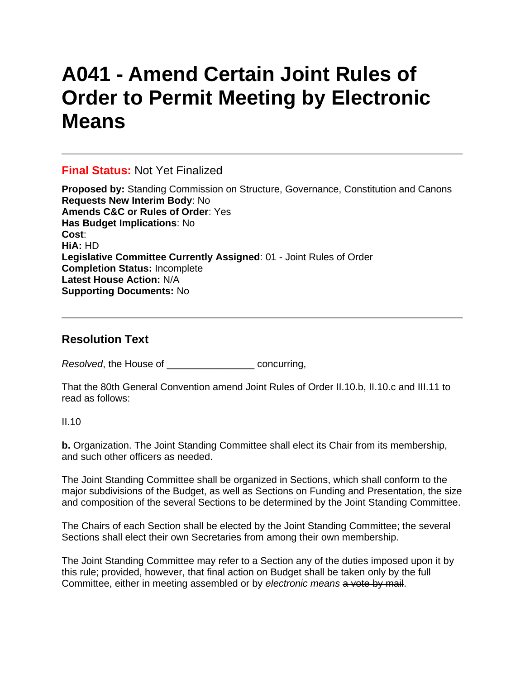# **A041 - Amend Certain Joint Rules of Order to Permit Meeting by Electronic Means**

#### **Final Status:** Not Yet Finalized

**Proposed by:** Standing Commission on Structure, Governance, Constitution and Canons **Requests New Interim Body**: No **Amends C&C or Rules of Order**: Yes **Has Budget Implications**: No **Cost**: **HiA:** HD **Legislative Committee Currently Assigned**: 01 - Joint Rules of Order **Completion Status:** Incomplete **Latest House Action:** N/A **Supporting Documents:** No

## **Resolution Text**

*Resolved*, the House of \_\_\_\_\_\_\_\_\_\_\_\_\_\_\_\_ concurring,

That the 80th General Convention amend Joint Rules of Order II.10.b, II.10.c and III.11 to read as follows:

 $II.10$ 

**b.** Organization. The Joint Standing Committee shall elect its Chair from its membership, and such other officers as needed.

The Joint Standing Committee shall be organized in Sections, which shall conform to the major subdivisions of the Budget, as well as Sections on Funding and Presentation, the size and composition of the several Sections to be determined by the Joint Standing Committee.

The Chairs of each Section shall be elected by the Joint Standing Committee; the several Sections shall elect their own Secretaries from among their own membership.

The Joint Standing Committee may refer to a Section any of the duties imposed upon it by this rule; provided, however, that final action on Budget shall be taken only by the full Committee, either in meeting assembled or by *electronic means* a vote by mail.